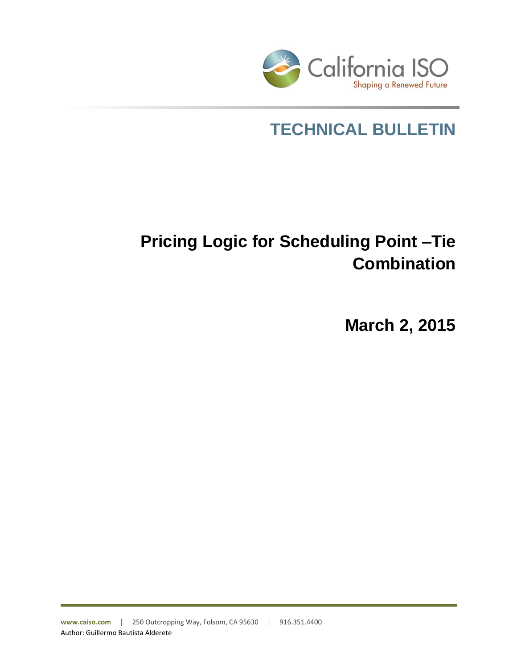

# **TECHNICAL BULLETIN**

# **Pricing Logic for Scheduling Point –Tie Combination**

**March 2, 2015**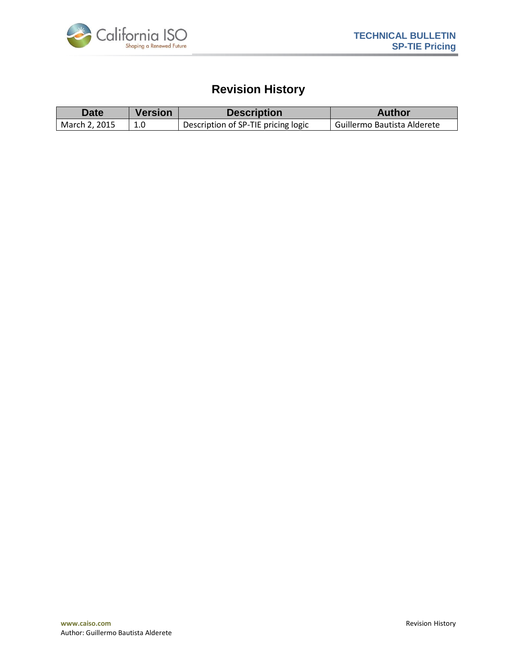

## **Revision History**

| <b>Date</b>   | <b>Version</b> | <b>Description</b>                  | <b>Author</b>                 |
|---------------|----------------|-------------------------------------|-------------------------------|
| March 2, 2015 |                | Description of SP-TIE pricing logic | l Guillermo Bautista Alderete |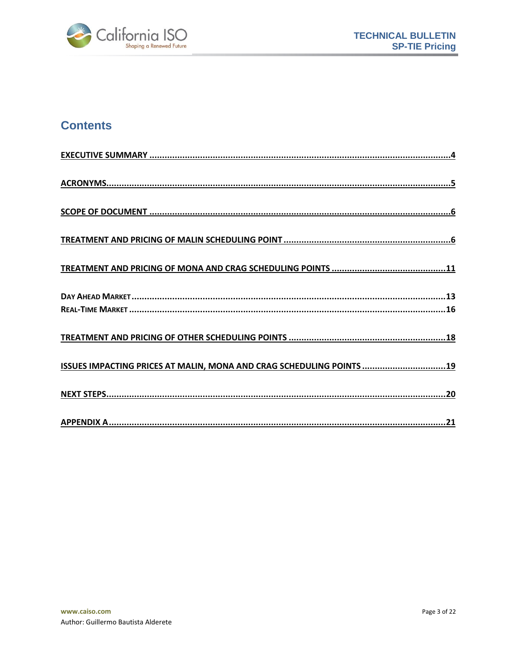

## **Contents**

| ISSUES IMPACTING PRICES AT MALIN, MONA AND CRAG SCHEDULING POINTS 19 |
|----------------------------------------------------------------------|
|                                                                      |
|                                                                      |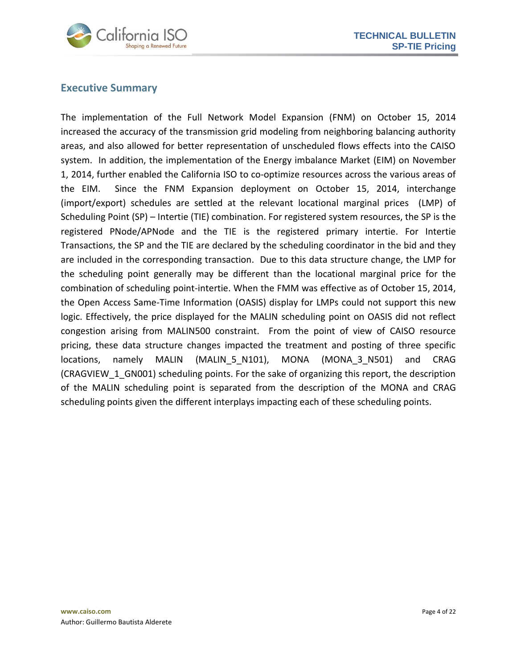

## <span id="page-3-0"></span>**Executive Summary**

The implementation of the Full Network Model Expansion (FNM) on October 15, 2014 increased the accuracy of the transmission grid modeling from neighboring balancing authority areas, and also allowed for better representation of unscheduled flows effects into the CAISO system. In addition, the implementation of the Energy imbalance Market (EIM) on November 1, 2014, further enabled the California ISO to co-optimize resources across the various areas of the EIM. Since the FNM Expansion deployment on October 15, 2014, interchange (import/export) schedules are settled at the relevant locational marginal prices (LMP) of Scheduling Point (SP) – Intertie (TIE) combination. For registered system resources, the SP is the registered PNode/APNode and the TIE is the registered primary intertie. For Intertie Transactions, the SP and the TIE are declared by the scheduling coordinator in the bid and they are included in the corresponding transaction. Due to this data structure change, the LMP for the scheduling point generally may be different than the locational marginal price for the combination of scheduling point-intertie. When the FMM was effective as of October 15, 2014, the Open Access Same-Time Information (OASIS) display for LMPs could not support this new logic. Effectively, the price displayed for the MALIN scheduling point on OASIS did not reflect congestion arising from MALIN500 constraint. From the point of view of CAISO resource pricing, these data structure changes impacted the treatment and posting of three specific locations, namely MALIN (MALIN 5 N101), MONA (MONA 3 N501) and CRAG (CRAGVIEW 1 GN001) scheduling points. For the sake of organizing this report, the description of the MALIN scheduling point is separated from the description of the MONA and CRAG scheduling points given the different interplays impacting each of these scheduling points.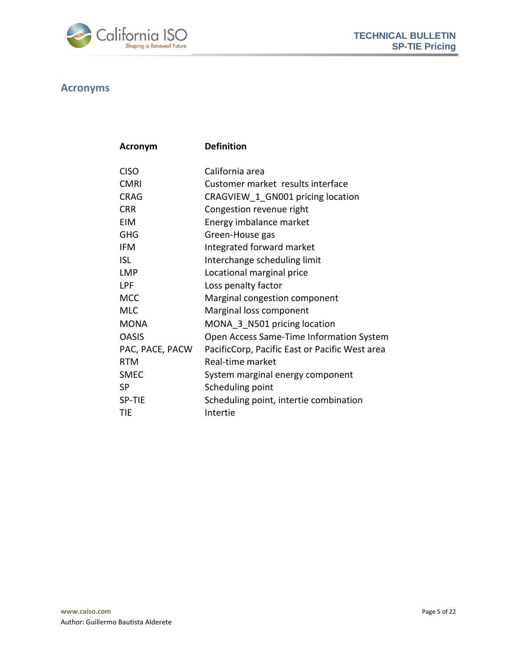

## <span id="page-4-0"></span>**Acronyms**

| <b>Acronym</b>  | <b>Definition</b>                              |
|-----------------|------------------------------------------------|
|                 |                                                |
| <b>CISO</b>     | California area                                |
| <b>CMRI</b>     | Customer market results interface              |
| <b>CRAG</b>     | CRAGVIEW 1 GN001 pricing location              |
| <b>CRR</b>      | Congestion revenue right                       |
| EIM             | Energy imbalance market                        |
| <b>GHG</b>      | Green-House gas                                |
| <b>IFM</b>      | Integrated forward market                      |
| <b>ISL</b>      | Interchange scheduling limit                   |
| <b>LMP</b>      | Locational marginal price                      |
| LPF             | Loss penalty factor                            |
| <b>MCC</b>      | Marginal congestion component                  |
| <b>MLC</b>      | Marginal loss component                        |
| <b>MONA</b>     | MONA 3 N501 pricing location                   |
| <b>OASIS</b>    | Open Access Same-Time Information System       |
| PAC, PACE, PACW | PacificCorp, Pacific East or Pacific West area |
| <b>RTM</b>      | Real-time market                               |
| <b>SMEC</b>     | System marginal energy component               |
| <b>SP</b>       | Scheduling point                               |
| SP-TIE          | Scheduling point, intertie combination         |
| TIE             | Intertie                                       |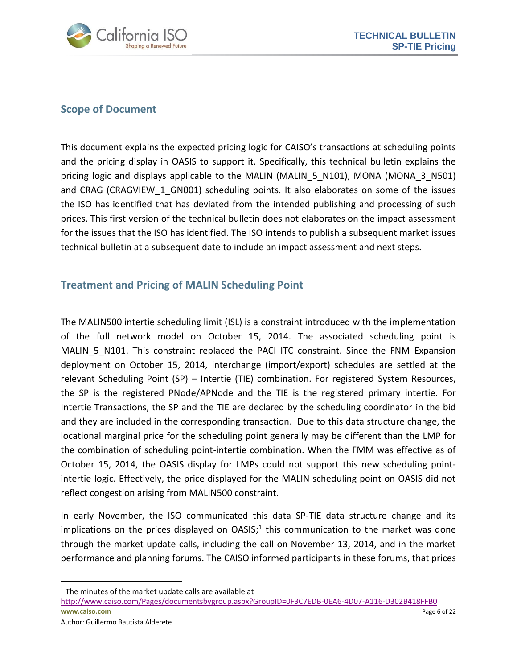

## <span id="page-5-0"></span>**Scope of Document**

This document explains the expected pricing logic for CAISO's transactions at scheduling points and the pricing display in OASIS to support it. Specifically, this technical bulletin explains the pricing logic and displays applicable to the MALIN (MALIN\_5\_N101), MONA (MONA\_3\_N501) and CRAG (CRAGVIEW 1 GN001) scheduling points. It also elaborates on some of the issues the ISO has identified that has deviated from the intended publishing and processing of such prices. This first version of the technical bulletin does not elaborates on the impact assessment for the issues that the ISO has identified. The ISO intends to publish a subsequent market issues technical bulletin at a subsequent date to include an impact assessment and next steps.

## <span id="page-5-1"></span>**Treatment and Pricing of MALIN Scheduling Point**

The MALIN500 intertie scheduling limit (ISL) is a constraint introduced with the implementation of the full network model on October 15, 2014. The associated scheduling point is MALIN\_5\_N101. This constraint replaced the PACI ITC constraint. Since the FNM Expansion deployment on October 15, 2014, interchange (import/export) schedules are settled at the relevant Scheduling Point (SP) – Intertie (TIE) combination. For registered System Resources, the SP is the registered PNode/APNode and the TIE is the registered primary intertie. For Intertie Transactions, the SP and the TIE are declared by the scheduling coordinator in the bid and they are included in the corresponding transaction. Due to this data structure change, the locational marginal price for the scheduling point generally may be different than the LMP for the combination of scheduling point-intertie combination. When the FMM was effective as of October 15, 2014, the OASIS display for LMPs could not support this new scheduling pointintertie logic. Effectively, the price displayed for the MALIN scheduling point on OASIS did not reflect congestion arising from MALIN500 constraint.

In early November, the ISO communicated this data SP-TIE data structure change and its implications on the prices displayed on  $OASIS$ ;<sup>1</sup> this communication to the market was done through the market update calls, including the call on November 13, 2014, and in the market performance and planning forums. The CAISO informed participants in these forums, that prices

 $\overline{a}$ 

 $<sup>1</sup>$  The minutes of the market update calls are available at</sup>

**www.caiso.com** Page 6 of 22 <http://www.caiso.com/Pages/documentsbygroup.aspx?GroupID=0F3C7EDB-0EA6-4D07-A116-D302B418FFB0>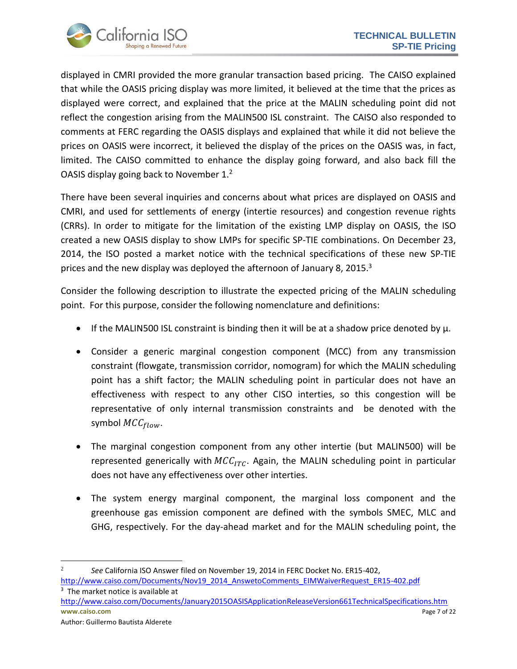

displayed in CMRI provided the more granular transaction based pricing. The CAISO explained that while the OASIS pricing display was more limited, it believed at the time that the prices as displayed were correct, and explained that the price at the MALIN scheduling point did not reflect the congestion arising from the MALIN500 ISL constraint. The CAISO also responded to comments at FERC regarding the OASIS displays and explained that while it did not believe the prices on OASIS were incorrect, it believed the display of the prices on the OASIS was, in fact, limited. The CAISO committed to enhance the display going forward, and also back fill the OASIS display going back to November 1.<sup>2</sup>

There have been several inquiries and concerns about what prices are displayed on OASIS and CMRI, and used for settlements of energy (intertie resources) and congestion revenue rights (CRRs). In order to mitigate for the limitation of the existing LMP display on OASIS, the ISO created a new OASIS display to show LMPs for specific SP-TIE combinations. On December 23, 2014, the ISO posted a market notice with the technical specifications of these new SP-TIE prices and the new display was deployed the afternoon of January 8, 2015.<sup>3</sup>

Consider the following description to illustrate the expected pricing of the MALIN scheduling point. For this purpose, consider the following nomenclature and definitions:

- If the MALIN500 ISL constraint is binding then it will be at a shadow price denoted by  $\mu$ .
- Consider a generic marginal congestion component (MCC) from any transmission constraint (flowgate, transmission corridor, nomogram) for which the MALIN scheduling point has a shift factor; the MALIN scheduling point in particular does not have an effectiveness with respect to any other CISO interties, so this congestion will be representative of only internal transmission constraints and be denoted with the symbol  $MCC_{flow}$ .
- The marginal congestion component from any other intertie (but MALIN500) will be represented generically with  $MCC_{ITC}$ . Again, the MALIN scheduling point in particular does not have any effectiveness over other interties.
- The system energy marginal component, the marginal loss component and the greenhouse gas emission component are defined with the symbols SMEC, MLC and GHG, respectively. For the day-ahead market and for the MALIN scheduling point, the
- $\overline{\phantom{a}}$ 2 *See* California ISO Answer filed on November 19, 2014 in FERC Docket No. ER15-402, [http://www.caiso.com/Documents/Nov19\\_2014\\_AnswetoComments\\_EIMWaiverRequest\\_ER15-402.pdf](http://www.caiso.com/Documents/Nov19_2014_AnswetoComments_EIMWaiverRequest_ER15-402.pdf)
- **www.caiso.com** Page 7 of 22 <sup>3</sup> The market notice is available at <http://www.caiso.com/Documents/January2015OASISApplicationReleaseVersion661TechnicalSpecifications.htm>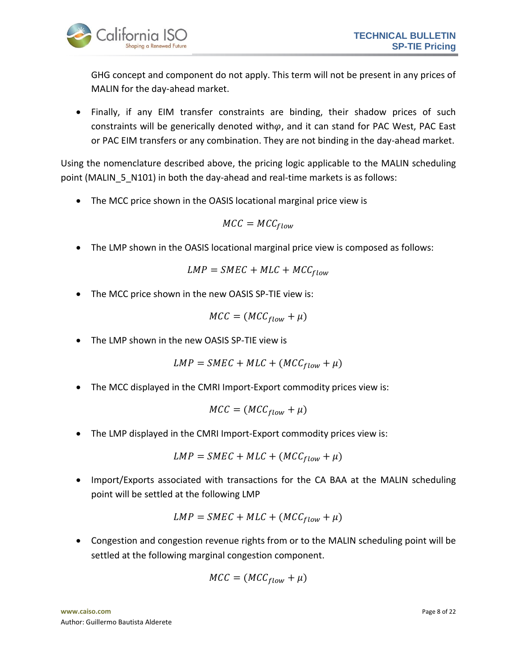

GHG concept and component do not apply. This term will not be present in any prices of MALIN for the day-ahead market.

 Finally, if any EIM transfer constraints are binding, their shadow prices of such constraints will be generically denoted with $\varphi$ , and it can stand for PAC West, PAC East or PAC EIM transfers or any combination. They are not binding in the day-ahead market.

Using the nomenclature described above, the pricing logic applicable to the MALIN scheduling point (MALIN 5 N101) in both the day-ahead and real-time markets is as follows:

The MCC price shown in the OASIS locational marginal price view is

$$
MCC = MCC_{flow}
$$

The LMP shown in the OASIS locational marginal price view is composed as follows:

$$
LMP = SMEC + MLC + MCC_{flow}
$$

The MCC price shown in the new OASIS SP-TIE view is:

$$
MCC = (MCC_{flow} + \mu)
$$

The LMP shown in the new OASIS SP-TIE view is

$$
LMP = SMEC + MLC + (MCC_{flow} + \mu)
$$

• The MCC displayed in the CMRI Import-Export commodity prices view is:

$$
MCC = (MCC_{flow} + \mu)
$$

• The LMP displayed in the CMRI Import-Export commodity prices view is:

$$
LMP = SMEC + MLC + (MCC_{flow} + \mu)
$$

 Import/Exports associated with transactions for the CA BAA at the MALIN scheduling point will be settled at the following LMP

$$
LMP = SMEC + MLC + (MCC_{flow} + \mu)
$$

 Congestion and congestion revenue rights from or to the MALIN scheduling point will be settled at the following marginal congestion component.

$$
MCC = (MCC_{flow} + \mu)
$$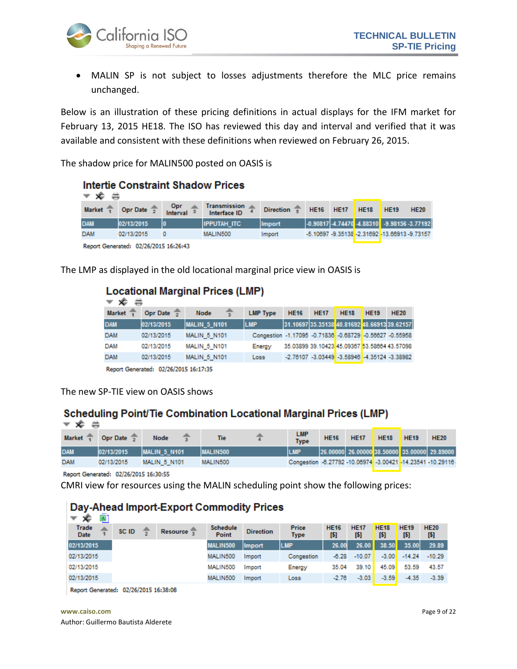

 MALIN SP is not subject to losses adjustments therefore the MLC price remains unchanged.

Below is an illustration of these pricing definitions in actual displays for the IFM market for February 13, 2015 HE18. The ISO has reviewed this day and interval and verified that it was available and consistent with these definitions when reviewed on February 26, 2015.

The shadow price for MALIN500 posted on OASIS is

| <b>Intertie Constraint Shadow Prices</b><br>≂ ≮ |                        |                 |                                     |                  |             |             |             |                                                        |             |  |
|-------------------------------------------------|------------------------|-----------------|-------------------------------------|------------------|-------------|-------------|-------------|--------------------------------------------------------|-------------|--|
| <b>Market</b>                                   | Opr Date $\frac{2}{3}$ | Opr<br>Interval | <b>Transmission</b><br>Interface ID | <b>Direction</b> | <b>HE16</b> | <b>HE17</b> | <b>HE18</b> | <b>HE19</b>                                            | <b>HE20</b> |  |
| <b>DAM</b>                                      | 02/13/2015             | I٥              | <b>IIPPUTAH ITC</b>                 | <b>Import</b>    |             |             |             | $-0.90817$ $-4.74470$ $-4.88310$ $-9.98156$ $-3.77192$ |             |  |
| <b>DAM</b>                                      | 02/13/2015             |                 | MALIN500                            | Import           |             |             |             | -5.10697 -9.35138 -2.31692 -13.66913 -9.73157          |             |  |
| Report Generated: 02/26/2015 16:26:43           |                        |                 |                                     |                  |             |             |             |                                                        |             |  |

The LMP as displayed in the old locational marginal price view in OASIS is

## **Locational Marginal Prices (LMP)**

| $\infty$      |                                               |                                     |                                                         |             |             |                                                    |             |             |
|---------------|-----------------------------------------------|-------------------------------------|---------------------------------------------------------|-------------|-------------|----------------------------------------------------|-------------|-------------|
| <b>Market</b> | Opr Date $\sqrt{2}$                           | <b>Node</b>                         | <b>LMP Type</b>                                         | <b>HE16</b> | <b>HE17</b> | <b>HE18</b>                                        | <b>HE19</b> | <b>HE20</b> |
| <b>DAM</b>    | 02/13/2015                                    | MALIN <sub>5</sub> N <sub>101</sub> | <b>LMP</b>                                              |             |             | 31.10697 35.35138 40.81692 48.66913 39.62157       |             |             |
| <b>DAM</b>    | 02/13/2015                                    | <b>MALIN 5 N101</b>                 | Congestion -1.17095 -0.71836 -0.68729 -0.56627 -0.55958 |             |             |                                                    |             |             |
| <b>DAM</b>    | 02/13/2015                                    | <b>MALIN 5 N101</b>                 | Energy                                                  |             |             | 35.03899 39.10423 45.09367 53.58664 43.57098       |             |             |
| <b>DAM</b>    | 02/13/2015                                    | <b>MALIN 5 N101</b>                 | Loss                                                    |             |             | $-2.76107 - 3.03449 - 3.58946 - 4.35124 - 3.38982$ |             |             |
|               | <b>Ronard Concentral: 03/36/3015 16:17:35</b> |                                     |                                                         |             |             |                                                    |             |             |

Report Generated: 02/26/2015 16:17:35

The new SP-TIE view on OASIS shows

#### Scheduling Point/Tie Combination Locational Marginal Prices (LMP)

| Market $\overline{1}$ | Opr Date $\sqrt{2}$        | <b>Node</b>         | Tie             | <b>LMP</b><br><b>Type</b>                                  | <b>HE16</b> | <b>HE17</b> | <b>HE18</b> | HE <sub>19</sub> | <b>HE20</b>                                  |
|-----------------------|----------------------------|---------------------|-----------------|------------------------------------------------------------|-------------|-------------|-------------|------------------|----------------------------------------------|
| <b>DAM</b>            | 02/13/2015                 | <b>MALIN 5 N101</b> | <b>MALIN500</b> |                                                            |             |             |             |                  | 26.00000 26.00000 38.50000 35.00000 29.89000 |
| <b>DAM</b>            | 02/13/2015                 | <b>MALIN 5 N101</b> | MALIN500        | Congestion -6.27792 -10.06974 -3.00421 -14.23541 -10.29116 |             |             |             |                  |                                              |
|                       | __________________________ |                     |                 |                                                            |             |             |             |                  |                                              |

Report Generated: 02/26/2015 16:30:55

CMRI view for resources using the MALIN scheduling point show the following prices:

## Day-Ahead Import-Export Commodity Prices

| Trade<br><b>HE18</b><br><b>HE20</b><br><b>Price</b><br><b>HE19</b><br><b>HE16</b><br><b>HE17</b><br><b>Schedule</b><br>SC ID<br>Resource -<br><b>Direction</b><br><b>Date</b><br>Point<br>[5]<br>[5]<br>[5]<br>[5]<br>[5]<br><b>Type</b><br>38.50<br>26.00<br>35.00<br>02/13/2015<br>LMP<br>26.00<br>MALIN500<br><b>Import</b> | ಣ<br>உ     |  |          |        |            |         |          |         |          |          |
|--------------------------------------------------------------------------------------------------------------------------------------------------------------------------------------------------------------------------------------------------------------------------------------------------------------------------------|------------|--|----------|--------|------------|---------|----------|---------|----------|----------|
|                                                                                                                                                                                                                                                                                                                                |            |  |          |        |            |         |          |         |          |          |
|                                                                                                                                                                                                                                                                                                                                |            |  |          |        |            |         |          |         |          | 29.89    |
|                                                                                                                                                                                                                                                                                                                                | 02/13/2015 |  | MALIN500 | Import | Congestion | $-6.28$ | $-10.07$ | $-3.00$ | $-14.24$ | $-10.29$ |
| 02/13/2015<br>39.10<br>45.09<br>53.59<br>MALIN500<br>35.04<br>Energy<br>Import                                                                                                                                                                                                                                                 |            |  |          |        |            |         |          |         |          | 43.57    |
| 02/13/2015<br>MALIN500<br>$-3.59$<br>$-4.35$<br>$-3.03$<br>$-2.76$<br>Import<br>Loss                                                                                                                                                                                                                                           |            |  |          |        |            |         |          |         |          | $-3.39$  |

Report Generated: 02/26/2015 16:38:08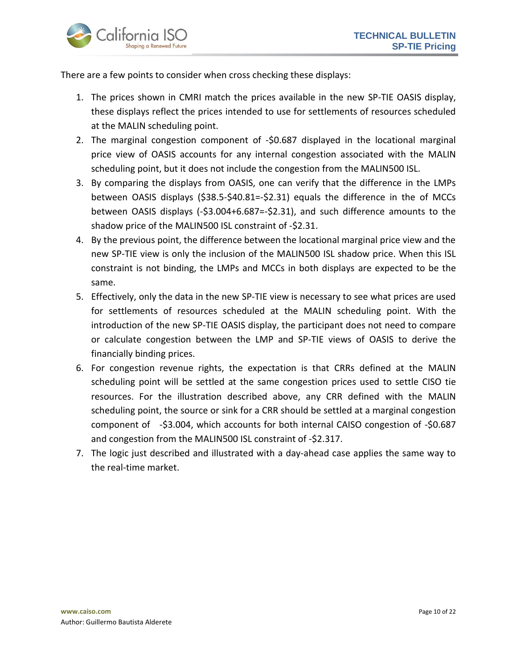

There are a few points to consider when cross checking these displays:

- 1. The prices shown in CMRI match the prices available in the new SP-TIE OASIS display, these displays reflect the prices intended to use for settlements of resources scheduled at the MALIN scheduling point.
- 2. The marginal congestion component of -\$0.687 displayed in the locational marginal price view of OASIS accounts for any internal congestion associated with the MALIN scheduling point, but it does not include the congestion from the MALIN500 ISL.
- 3. By comparing the displays from OASIS, one can verify that the difference in the LMPs between OASIS displays (\$38.5-\$40.81=-\$2.31) equals the difference in the of MCCs between OASIS displays (-\$3.004+6.687=-\$2.31), and such difference amounts to the shadow price of the MALIN500 ISL constraint of -\$2.31.
- 4. By the previous point, the difference between the locational marginal price view and the new SP-TIE view is only the inclusion of the MALIN500 ISL shadow price. When this ISL constraint is not binding, the LMPs and MCCs in both displays are expected to be the same.
- 5. Effectively, only the data in the new SP-TIE view is necessary to see what prices are used for settlements of resources scheduled at the MALIN scheduling point. With the introduction of the new SP-TIE OASIS display, the participant does not need to compare or calculate congestion between the LMP and SP-TIE views of OASIS to derive the financially binding prices.
- 6. For congestion revenue rights, the expectation is that CRRs defined at the MALIN scheduling point will be settled at the same congestion prices used to settle CISO tie resources. For the illustration described above, any CRR defined with the MALIN scheduling point, the source or sink for a CRR should be settled at a marginal congestion component of -\$3.004, which accounts for both internal CAISO congestion of -\$0.687 and congestion from the MALIN500 ISL constraint of -\$2.317.
- 7. The logic just described and illustrated with a day-ahead case applies the same way to the real-time market.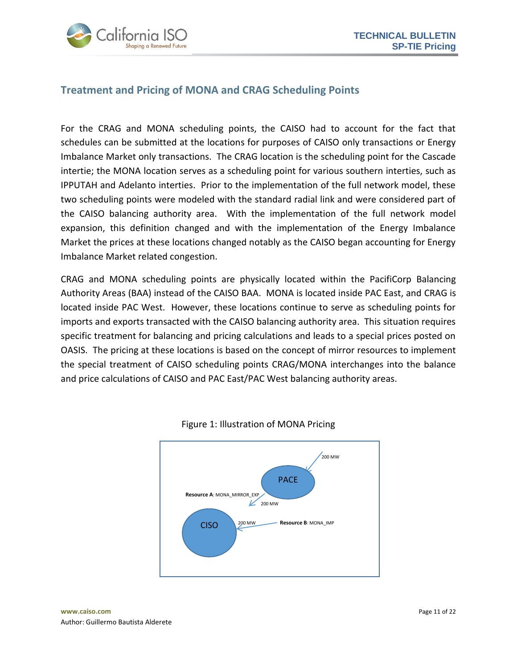

## <span id="page-10-0"></span>**Treatment and Pricing of MONA and CRAG Scheduling Points**

For the CRAG and MONA scheduling points, the CAISO had to account for the fact that schedules can be submitted at the locations for purposes of CAISO only transactions or Energy Imbalance Market only transactions. The CRAG location is the scheduling point for the Cascade intertie; the MONA location serves as a scheduling point for various southern interties, such as IPPUTAH and Adelanto interties. Prior to the implementation of the full network model, these two scheduling points were modeled with the standard radial link and were considered part of the CAISO balancing authority area. With the implementation of the full network model expansion, this definition changed and with the implementation of the Energy Imbalance Market the prices at these locations changed notably as the CAISO began accounting for Energy Imbalance Market related congestion.

CRAG and MONA scheduling points are physically located within the PacifiCorp Balancing Authority Areas (BAA) instead of the CAISO BAA. MONA is located inside PAC East, and CRAG is located inside PAC West. However, these locations continue to serve as scheduling points for imports and exports transacted with the CAISO balancing authority area. This situation requires specific treatment for balancing and pricing calculations and leads to a special prices posted on OASIS. The pricing at these locations is based on the concept of mirror resources to implement the special treatment of CAISO scheduling points CRAG/MONA interchanges into the balance and price calculations of CAISO and PAC East/PAC West balancing authority areas.



Figure 1: Illustration of MONA Pricing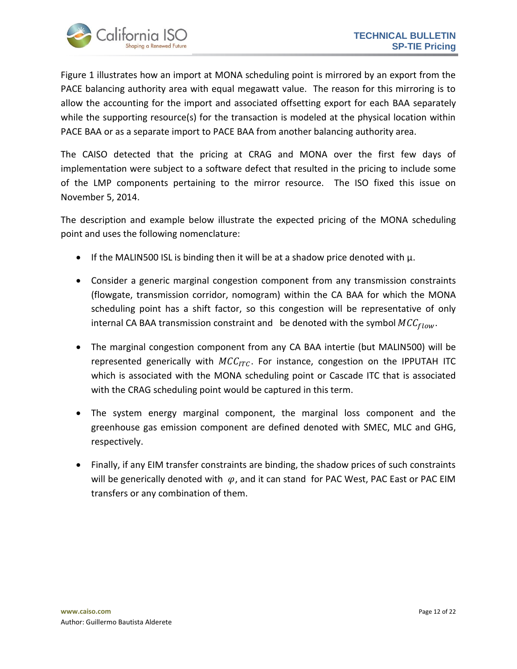

Figure 1 illustrates how an import at MONA scheduling point is mirrored by an export from the PACE balancing authority area with equal megawatt value. The reason for this mirroring is to allow the accounting for the import and associated offsetting export for each BAA separately while the supporting resource(s) for the transaction is modeled at the physical location within PACE BAA or as a separate import to PACE BAA from another balancing authority area.

The CAISO detected that the pricing at CRAG and MONA over the first few days of implementation were subject to a software defect that resulted in the pricing to include some of the LMP components pertaining to the mirror resource. The ISO fixed this issue on November 5, 2014.

The description and example below illustrate the expected pricing of the MONA scheduling point and uses the following nomenclature:

- If the MALIN500 ISL is binding then it will be at a shadow price denoted with  $\mu$ .
- Consider a generic marginal congestion component from any transmission constraints (flowgate, transmission corridor, nomogram) within the CA BAA for which the MONA scheduling point has a shift factor, so this congestion will be representative of only internal CA BAA transmission constraint and be denoted with the symbol  $MCC_{flow}$ .
- The marginal congestion component from any CA BAA intertie (but MALIN500) will be represented generically with  $MCC_{ITC}$ . For instance, congestion on the IPPUTAH ITC which is associated with the MONA scheduling point or Cascade ITC that is associated with the CRAG scheduling point would be captured in this term.
- The system energy marginal component, the marginal loss component and the greenhouse gas emission component are defined denoted with SMEC, MLC and GHG, respectively.
- Finally, if any EIM transfer constraints are binding, the shadow prices of such constraints will be generically denoted with  $\varphi$ , and it can stand for PAC West, PAC East or PAC EIM transfers or any combination of them.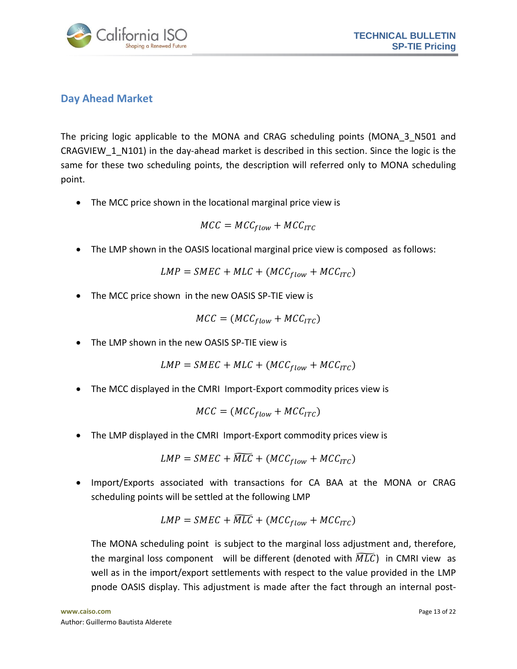

## <span id="page-12-0"></span>**Day Ahead Market**

The pricing logic applicable to the MONA and CRAG scheduling points (MONA 3 N501 and CRAGVIEW\_1\_N101) in the day-ahead market is described in this section. Since the logic is the same for these two scheduling points, the description will referred only to MONA scheduling point.

• The MCC price shown in the locational marginal price view is

$$
MCC = MCC_{flow} + MCC_{ITC}
$$

The LMP shown in the OASIS locational marginal price view is composed as follows:

$$
LMP = SMEC + MLC + (MCC_{flow} + MCC_{ITC})
$$

• The MCC price shown in the new OASIS SP-TIE view is

$$
MCC = (MCC_{flow} + MCC_{ITC})
$$

The LMP shown in the new OASIS SP-TIE view is

$$
LMP = SMEC + MLC + (MCC_{flow} + MCC_{ITC})
$$

• The MCC displayed in the CMRI Import-Export commodity prices view is

$$
MCC = (MCC_{flow} + MCC_{ITC})
$$

The LMP displayed in the CMRI Import-Export commodity prices view is

$$
LMP = SMEC + \widetilde{MLC} + (MCC_{flow} + MCC_{ITC})
$$

 Import/Exports associated with transactions for CA BAA at the MONA or CRAG scheduling points will be settled at the following LMP

$$
LMP = SMEC + \widetilde{MLC} + (MCC_{flow} + MCC_{ITC})
$$

The MONA scheduling point is subject to the marginal loss adjustment and, therefore, the marginal loss component will be different (denoted with  $\widetilde{MLC}$ ) in CMRI view as well as in the import/export settlements with respect to the value provided in the LMP pnode OASIS display. This adjustment is made after the fact through an internal post-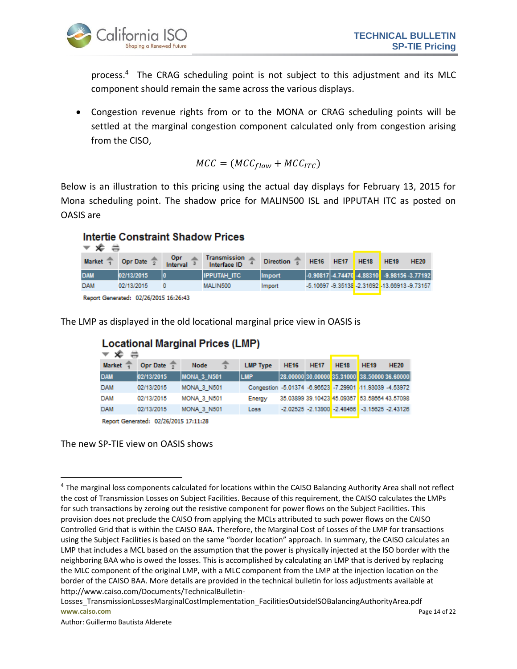

process. <sup>4</sup> The CRAG scheduling point is not subject to this adjustment and its MLC component should remain the same across the various displays.

 Congestion revenue rights from or to the MONA or CRAG scheduling points will be settled at the marginal congestion component calculated only from congestion arising from the CISO,

$$
MCC = (MCC_{flow} + MCC_{ITC})
$$

Below is an illustration to this pricing using the actual day displays for February 13, 2015 for Mona scheduling point. The shadow price for MALIN500 ISL and IPPUTAH ITC as posted on OASIS are

## **Intertie Constraint Shadow Prices**

| $\overline{\phantom{a}}$ $\overline{\phantom{a}}$ $\overline{\phantom{a}}$ $\overline{\phantom{a}}$ $\overline{\phantom{a}}$ $\overline{\phantom{a}}$ $\overline{\phantom{a}}$ $\overline{\phantom{a}}$ |                        |                               |                                     |                          |                  |      |                                                        |             |
|---------------------------------------------------------------------------------------------------------------------------------------------------------------------------------------------------------|------------------------|-------------------------------|-------------------------------------|--------------------------|------------------|------|--------------------------------------------------------|-------------|
| <b>Market</b>                                                                                                                                                                                           | Opr Date $\frac{1}{2}$ | <b>Opr</b><br><b>Interval</b> | <b>Transmission</b><br>Interface ID | Direction $\overline{s}$ | <b>HE16 HE17</b> | HE18 | <b>HE19</b>                                            | <b>HE20</b> |
| <b>DAM</b>                                                                                                                                                                                              | 02/13/2015             |                               | <b>IIPPUTAH ITC</b>                 | <b>Import</b>            |                  |      | $-0.90817$ $-4.74470$ $-4.88310$ $-9.98156$ $-3.77192$ |             |
| <b>DAM</b>                                                                                                                                                                                              | 02/13/2015             |                               | MALIN500                            | Import                   |                  |      | -5.10697 -9.35138 -2.31692 -13.66913 -9.73157          |             |
|                                                                                                                                                                                                         |                        |                               |                                     |                          |                  |      |                                                        |             |

Report Generated: 02/26/2015 16:26:43

The LMP as displayed in the old locational marginal price view in OASIS is

| <b>Locational Marginal Prices (LMP)</b><br>x |            |                    |                                                          |             |             |                                                    |             |             |  |  |  |
|----------------------------------------------|------------|--------------------|----------------------------------------------------------|-------------|-------------|----------------------------------------------------|-------------|-------------|--|--|--|
| <b>Market</b>                                | Opr Date   | Node               | <b>LMP Type</b>                                          | <b>HE16</b> | <b>HE17</b> | <b>HE18</b>                                        | <b>HE19</b> | <b>HE20</b> |  |  |  |
| <b>DAM</b>                                   | 02/13/2015 | <b>MONA 3 N501</b> | <b>LMP</b>                                               |             |             | 28.00000 30.00000 35.31000 38.50000 36.60000       |             |             |  |  |  |
| <b>DAM</b>                                   | 02/13/2015 | <b>MONA 3 N501</b> | Congestion -5.01374 -6.96523 -7.29901 -11.93039 -4.53972 |             |             |                                                    |             |             |  |  |  |
| <b>DAM</b>                                   | 02/13/2015 | <b>MONA 3 N501</b> | Energy                                                   |             |             | 35.03899 39.10423 45.09367 53.58664 43.57098       |             |             |  |  |  |
| <b>DAM</b>                                   | 02/13/2015 | <b>MONA 3 N501</b> | Loss                                                     |             |             | $-2.02525 - 2.13900 - 2.48466 - 3.15625 - 2.43126$ |             |             |  |  |  |
|                                              |            |                    |                                                          |             |             |                                                    |             |             |  |  |  |

Report Generated: 02/26/2015 17:11:28

#### The new SP-TIE view on OASIS shows

 $\overline{a}$ 

<sup>&</sup>lt;sup>4</sup> The marginal loss components calculated for locations within the CAISO Balancing Authority Area shall not reflect the cost of Transmission Losses on Subject Facilities. Because of this requirement, the CAISO calculates the LMPs for such transactions by zeroing out the resistive component for power flows on the Subject Facilities. This provision does not preclude the CAISO from applying the MCLs attributed to such power flows on the CAISO Controlled Grid that is within the CAISO BAA. Therefore, the Marginal Cost of Losses of the LMP for transactions using the Subject Facilities is based on the same "border location" approach. In summary, the CAISO calculates an LMP that includes a MCL based on the assumption that the power is physically injected at the ISO border with the neighboring BAA who is owed the losses. This is accomplished by calculating an LMP that is derived by replacing the MLC component of the original LMP, with a MLC component from the LMP at the injection location on the border of the CAISO BAA. More details are provided in the technical bulletin for loss adjustments available at http://www.caiso.com/Documents/TechnicalBulletin-

**www.caiso.com** Page 14 of 22 Losses\_TransmissionLossesMarginalCostImplementation\_FacilitiesOutsideISOBalancingAuthorityArea.pdf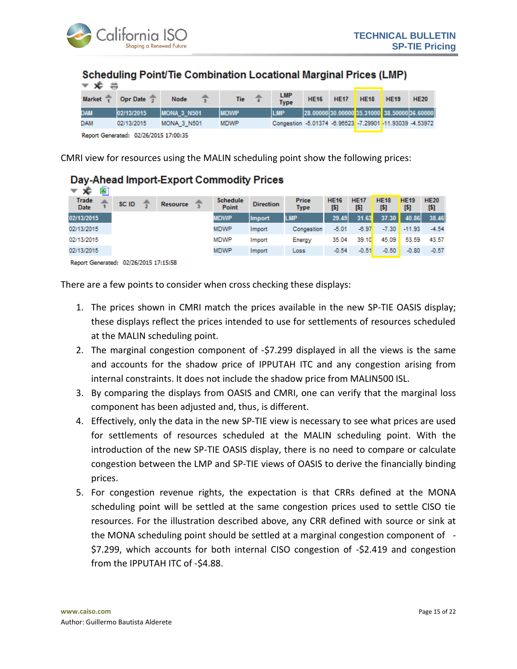

#### Scheduling Point/Tie Combination Locational Marginal Prices (LMP)

| $\overline{\phantom{a}}$ $\overline{\phantom{a}}$ $\overline{\phantom{a}}$ $\overline{\phantom{a}}$ |            |                     |             |                                                          |             |             |             |                                              |             |
|-----------------------------------------------------------------------------------------------------|------------|---------------------|-------------|----------------------------------------------------------|-------------|-------------|-------------|----------------------------------------------|-------------|
| Market <sup>*</sup>                                                                                 | Opr Date 7 | <b>Node</b>         | <b>Tie</b>  | <b>LMP</b><br><b>Type</b>                                | <b>HE16</b> | <b>HE17</b> | <b>HE18</b> | <b>HE19</b>                                  | <b>HE20</b> |
| <b>MAC</b>                                                                                          | 02/13/2015 | <b>IMONA 3 N501</b> | <b>MDWP</b> | LMP                                                      |             |             |             | 28.00000 30.00000 35.31000 38.50000 36.60000 |             |
| DAM                                                                                                 | 02/13/2015 | <b>MONA 3 N501</b>  | <b>MDWP</b> | Congestion -5.01374 -6.96523 -7.29901 -11.93039 -4.53972 |             |             |             |                                              |             |
|                                                                                                     |            |                     |             |                                                          |             |             |             |                                              |             |

Report Generated: 02/26/2015 17:00:35

CMRI view for resources using the MALIN scheduling point show the following prices:

## Day-Ahead Import-Export Commodity Prices

| ۰Ê<br>▼                        | ⊡     |                 |                          |                  |                             |                    |                    |                    |                    |                    |
|--------------------------------|-------|-----------------|--------------------------|------------------|-----------------------------|--------------------|--------------------|--------------------|--------------------|--------------------|
| Trade<br><b>Date</b>           | SC ID | <b>Resource</b> | <b>Schedule</b><br>Point | <b>Direction</b> | <b>Price</b><br><b>Type</b> | <b>HE16</b><br>[5] | <b>HE17</b><br>[5] | <b>HE18</b><br>[5] | <b>HE19</b><br>[5] | <b>HE20</b><br>[5] |
| 02/13/2015                     |       |                 | <b>MDWP</b>              | <b>Import</b>    | <b>LMP</b>                  | 29.49              | 31.63              | 37.30              | 40.86              | 38.46              |
| 02/13/2015                     |       |                 | MDWP                     | Import           | Congestion                  | $-5.01$            | $-6.97$            | $-7.30$            | $-11.93$           | $-4.54$            |
| 02/13/2015                     |       |                 | <b>MDWP</b>              | Import           | Energy                      | 35.04              | 39.10              | 45.09              | 53.59              | 43.57              |
| 02/13/2015                     |       |                 | <b>MDWP</b>              | Import           | Loss                        | $-0.54$            | $-0.51$            | $-0.50$            | $-0.80$            | $-0.57$            |
| a ca climate de característica |       |                 |                          |                  |                             |                    |                    |                    |                    |                    |

Report Generated: 02/26/2015 17:15:58

There are a few points to consider when cross checking these displays:

- 1. The prices shown in CMRI match the prices available in the new SP-TIE OASIS display; these displays reflect the prices intended to use for settlements of resources scheduled at the MALIN scheduling point.
- 2. The marginal congestion component of -\$7.299 displayed in all the views is the same and accounts for the shadow price of IPPUTAH ITC and any congestion arising from internal constraints. It does not include the shadow price from MALIN500 ISL.
- 3. By comparing the displays from OASIS and CMRI, one can verify that the marginal loss component has been adjusted and, thus, is different.
- 4. Effectively, only the data in the new SP-TIE view is necessary to see what prices are used for settlements of resources scheduled at the MALIN scheduling point. With the introduction of the new SP-TIE OASIS display, there is no need to compare or calculate congestion between the LMP and SP-TIE views of OASIS to derive the financially binding prices.
- 5. For congestion revenue rights, the expectation is that CRRs defined at the MONA scheduling point will be settled at the same congestion prices used to settle CISO tie resources. For the illustration described above, any CRR defined with source or sink at the MONA scheduling point should be settled at a marginal congestion component of - \$7.299, which accounts for both internal CISO congestion of -\$2.419 and congestion from the IPPUTAH ITC of -\$4.88.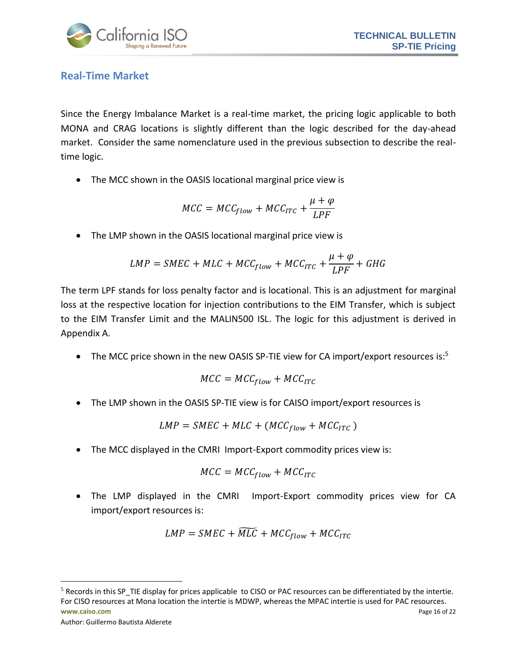

## <span id="page-15-0"></span>**Real-Time Market**

Since the Energy Imbalance Market is a real-time market, the pricing logic applicable to both MONA and CRAG locations is slightly different than the logic described for the day-ahead market. Consider the same nomenclature used in the previous subsection to describe the realtime logic.

The MCC shown in the OASIS locational marginal price view is

$$
MCC = MCC_{flow} + MCC_{ITC} + \frac{\mu + \varphi}{LPF}
$$

The LMP shown in the OASIS locational marginal price view is

$$
LMP = SMEC + MLC + MCC_{flow} + MCC_{ITC} + \frac{\mu + \varphi}{LPF} + GHG
$$

The term LPF stands for loss penalty factor and is locational. This is an adjustment for marginal loss at the respective location for injection contributions to the EIM Transfer, which is subject to the EIM Transfer Limit and the MALIN500 ISL. The logic for this adjustment is derived in Appendix A.

• The MCC price shown in the new OASIS SP-TIE view for CA import/export resources is:<sup>5</sup>

$$
MCC = MCC_{flow} + MCC_{ITC}
$$

The LMP shown in the OASIS SP-TIE view is for CAISO import/export resources is

$$
LMP = SMEC + MLC + (MCC_{flow} + MCC_{ITC})
$$

The MCC displayed in the CMRI Import-Export commodity prices view is:

$$
MCC = MCC_{flow} + MCC_{ITC}
$$

 The LMP displayed in the CMRI Import-Export commodity prices view for CA import/export resources is:

$$
LMP = SMEC + \widetilde{MLC} + MCC_{flow} + MCC_{ITC}
$$

```
Author: Guillermo Bautista Alderete
```
 $\overline{a}$ 

**www.caiso.com** Page 16 of 22  $<sup>5</sup>$  Records in this SP\_TIE display for prices applicable to CISO or PAC resources can be differentiated by the intertie.</sup> For CISO resources at Mona location the intertie is MDWP, whereas the MPAC intertie is used for PAC resources.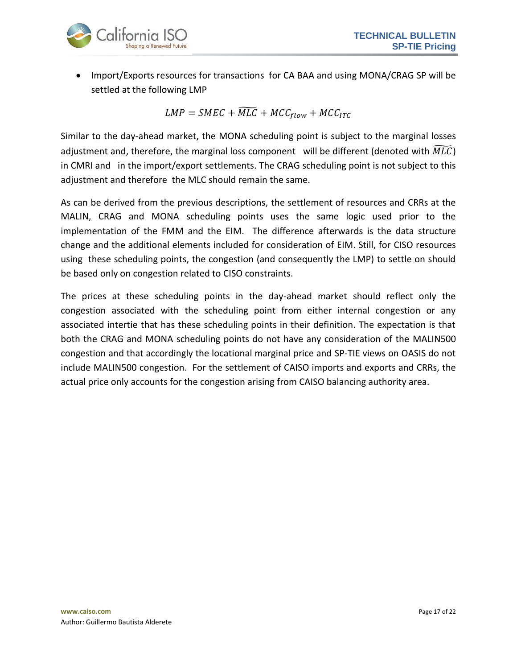

 Import/Exports resources for transactions for CA BAA and using MONA/CRAG SP will be settled at the following LMP

 $LMP = SMEC + \widetilde{MLC} + MCC_{flow} + MCC_{ITC}$ 

Similar to the day-ahead market, the MONA scheduling point is subject to the marginal losses adjustment and, therefore, the marginal loss component will be different (denoted with  $\overline{MLC}$ ) in CMRI and in the import/export settlements. The CRAG scheduling point is not subject to this adjustment and therefore the MLC should remain the same.

As can be derived from the previous descriptions, the settlement of resources and CRRs at the MALIN, CRAG and MONA scheduling points uses the same logic used prior to the implementation of the FMM and the EIM. The difference afterwards is the data structure change and the additional elements included for consideration of EIM. Still, for CISO resources using these scheduling points, the congestion (and consequently the LMP) to settle on should be based only on congestion related to CISO constraints.

The prices at these scheduling points in the day-ahead market should reflect only the congestion associated with the scheduling point from either internal congestion or any associated intertie that has these scheduling points in their definition. The expectation is that both the CRAG and MONA scheduling points do not have any consideration of the MALIN500 congestion and that accordingly the locational marginal price and SP-TIE views on OASIS do not include MALIN500 congestion. For the settlement of CAISO imports and exports and CRRs, the actual price only accounts for the congestion arising from CAISO balancing authority area.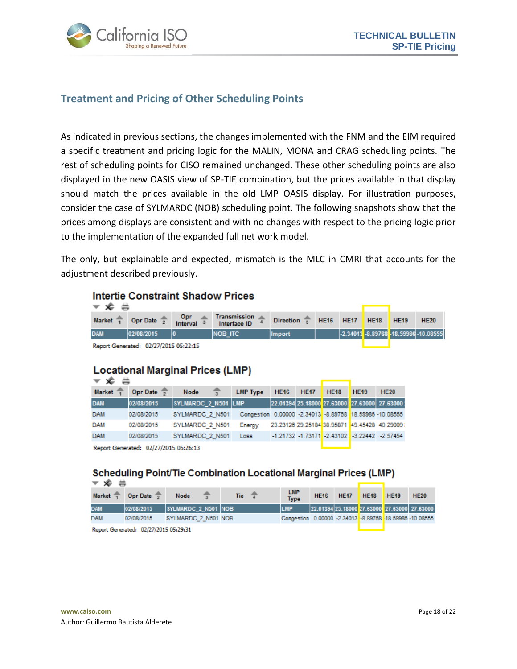

## <span id="page-17-0"></span>**Treatment and Pricing of Other Scheduling Points**

As indicated in previous sections, the changes implemented with the FNM and the EIM required a specific treatment and pricing logic for the MALIN, MONA and CRAG scheduling points. The rest of scheduling points for CISO remained unchanged. These other scheduling points are also displayed in the new OASIS view of SP-TIE combination, but the prices available in that display should match the prices available in the old LMP OASIS display. For illustration purposes, consider the case of SYLMARDC (NOB) scheduling point. The following snapshots show that the prices among displays are consistent and with no changes with respect to the pricing logic prior to the implementation of the expanded full net work model.

The only, but explainable and expected, mismatch is the MLC in CMRI that accounts for the adjustment described previously.

#### **Intertie Constraint Shadow Prices**

| ▼ <i>v</i> ⇒                                |                                       |                                                |               |  |  |  |  |                                      |  |  |
|---------------------------------------------|---------------------------------------|------------------------------------------------|---------------|--|--|--|--|--------------------------------------|--|--|
| Market $\frac{1}{1}$ Opr Date $\frac{1}{2}$ | $Opr \quad \triangle$<br>Interval $3$ | Transmission 2 Direction 5 HE16 HE17 HE18 HE19 |               |  |  |  |  | <b>HE20</b>                          |  |  |
| <b>DAM</b><br>02/08/2015                    |                                       | INOB ITC                                       | <b>Import</b> |  |  |  |  | 2.34013 -8.89768 -18.59986 -10.08555 |  |  |

Report Generated: 02/27/2015 05:22:15

#### **Locational Marginal Prices (LMP)**

| <del>⊽ x</del>                        |            |                     |                                                         |             |             |             |             |                                                |
|---------------------------------------|------------|---------------------|---------------------------------------------------------|-------------|-------------|-------------|-------------|------------------------------------------------|
| <b>Market</b>                         | Opr Date   | Node                | <b>LMP Type</b>                                         | <b>HE16</b> | <b>HE17</b> | <b>HE18</b> | <b>HE19</b> | <b>HE20</b>                                    |
| <b>DAM</b>                            | 02/08/2015 | SYLMARDC 2 N501 LMP |                                                         |             |             |             |             | 22.01394 25.18000 27.63000 27.63000 27.63000   |
| <b>DAM</b>                            | 02/08/2015 | SYLMARDC 2 N501     | Congestion 0.00000 -2.34013 -8.89768 18.59986 -10.08555 |             |             |             |             |                                                |
| <b>DAM</b>                            | 02/08/2015 | SYLMARDC 2 N501     | Energy                                                  |             |             |             |             | 23.23126 29.25184 38.95871 49.45428 40.29009   |
| <b>DAM</b>                            | 02/08/2015 | SYLMARDC 2 N501     | Loss                                                    |             |             |             |             | $-1.21732 -1.73171 -2.43102 -3.22442 -2.57454$ |
| Report Generated: 02/27/2015 05:26:13 |            |                     |                                                         |             |             |             |             |                                                |

## **Scheduling Point/Tie Combination Locational Marginal Prices (LMP)**

| $\mathbf{v}$ $\mathbf{x}$ $\mathbf{v}$ |                           |                     |  |  |                |  |                                                          |             |             |             |             |                                              |
|----------------------------------------|---------------------------|---------------------|--|--|----------------|--|----------------------------------------------------------|-------------|-------------|-------------|-------------|----------------------------------------------|
| Market $\overline{1}$                  | Opr Date $\frac{1}{2}$    | <b>Node</b>         |  |  | Tie $\sqrt{x}$ |  | <b>LMP</b><br><b>Type</b>                                | <b>HE16</b> | <b>HE17</b> | <b>HE18</b> | <b>HE19</b> | <b>HE20</b>                                  |
| <b>DAM</b>                             | 02/08/2015                | SYLMARDC 2 N501 NOB |  |  |                |  | <b>LMP</b>                                               |             |             |             |             | 22.01394 25.18000 27.63000 27.63000 27.63000 |
| DAM                                    | 02/08/2015                | SYLMARDC 2 N501 NOB |  |  |                |  | Congestion 0.00000 -2.34013 -8.89768 -18.59986 -10.08555 |             |             |             |             |                                              |
|                                        | _________________________ |                     |  |  |                |  |                                                          |             |             |             |             |                                              |

Report Generated: 02/27/2015 05:29:31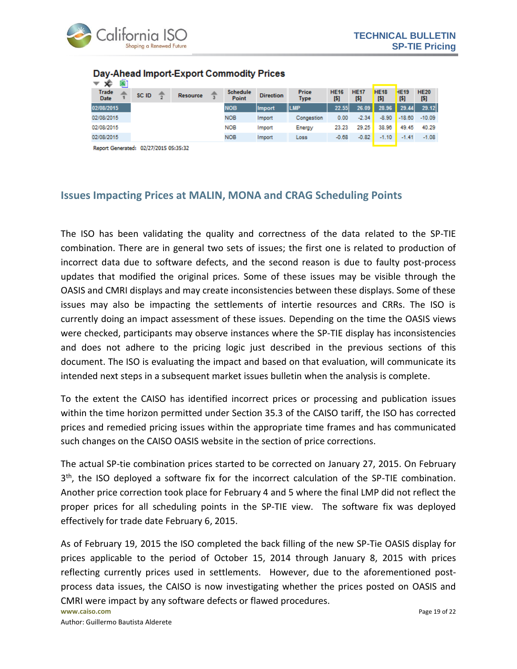

| хF<br>▼                     |       |                 |                          |                  |                             |                     |                    |                     |                    |                    |
|-----------------------------|-------|-----------------|--------------------------|------------------|-----------------------------|---------------------|--------------------|---------------------|--------------------|--------------------|
| <b>Trade</b><br><b>Date</b> | SC ID | <b>Resource</b> | <b>Schedule</b><br>Point | <b>Direction</b> | <b>Price</b><br><b>Type</b> | <b>HE16</b><br>[\$] | <b>HE17</b><br>[5] | <b>HE18</b><br>[\$] | <b>HE19</b><br>[5] | <b>HE20</b><br>[5] |
| 02/08/2015                  |       |                 | <b>NOB</b>               | <b>Import</b>    | <b>ILMP</b>                 | 22.55               | 26.09              | 28.96               | 29.44              | 29.12              |
| 02/08/2015                  |       |                 | <b>NOB</b>               | Import           | Congestion                  | 0.00                | $-2.34$            | $-8.90$             | $-18.60$           | $-10.09$           |
| 02/08/2015                  |       |                 | <b>NOB</b>               | Import           | Energy                      | 23.23               | 29.25              | 38.96               | 49.45              | 40.29              |
| 02/08/2015                  |       |                 | <b>NOB</b>               | Import           | Loss                        | $-0.68$             | $-0.82$            | $-1.10$             | $-1.41$            | $-1.08$            |
|                             |       |                 |                          |                  |                             |                     |                    |                     |                    |                    |

#### Day-Ahead Import-Export Commodity Prices

Report Generated: 02/27/2015 05:35:32

#### <span id="page-18-0"></span>**Issues Impacting Prices at MALIN, MONA and CRAG Scheduling Points**

The ISO has been validating the quality and correctness of the data related to the SP-TIE combination. There are in general two sets of issues; the first one is related to production of incorrect data due to software defects, and the second reason is due to faulty post-process updates that modified the original prices. Some of these issues may be visible through the OASIS and CMRI displays and may create inconsistencies between these displays. Some of these issues may also be impacting the settlements of intertie resources and CRRs. The ISO is currently doing an impact assessment of these issues. Depending on the time the OASIS views were checked, participants may observe instances where the SP-TIE display has inconsistencies and does not adhere to the pricing logic just described in the previous sections of this document. The ISO is evaluating the impact and based on that evaluation, will communicate its intended next steps in a subsequent market issues bulletin when the analysis is complete.

To the extent the CAISO has identified incorrect prices or processing and publication issues within the time horizon permitted under Section 35.3 of the CAISO tariff, the ISO has corrected prices and remedied pricing issues within the appropriate time frames and has communicated such changes on the CAISO OASIS website in the section of price corrections.

The actual SP-tie combination prices started to be corrected on January 27, 2015. On February 3<sup>th</sup>, the ISO deployed a software fix for the incorrect calculation of the SP-TIE combination. Another price correction took place for February 4 and 5 where the final LMP did not reflect the proper prices for all scheduling points in the SP-TIE view. The software fix was deployed effectively for trade date February 6, 2015.

As of February 19, 2015 the ISO completed the back filling of the new SP-Tie OASIS display for prices applicable to the period of October 15, 2014 through January 8, 2015 with prices reflecting currently prices used in settlements. However, due to the aforementioned postprocess data issues, the CAISO is now investigating whether the prices posted on OASIS and CMRI were impact by any software defects or flawed procedures.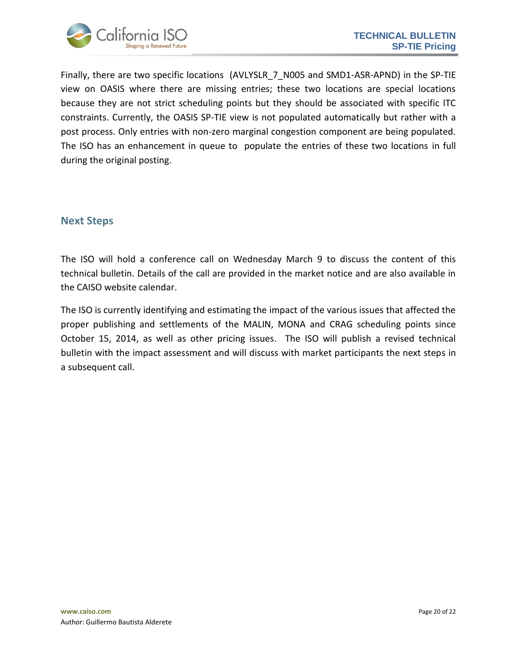

Finally, there are two specific locations (AVLYSLR 7 N005 and SMD1-ASR-APND) in the SP-TIE view on OASIS where there are missing entries; these two locations are special locations because they are not strict scheduling points but they should be associated with specific ITC constraints. Currently, the OASIS SP-TIE view is not populated automatically but rather with a post process. Only entries with non-zero marginal congestion component are being populated. The ISO has an enhancement in queue to populate the entries of these two locations in full during the original posting.

#### <span id="page-19-0"></span>**Next Steps**

The ISO will hold a conference call on Wednesday March 9 to discuss the content of this technical bulletin. Details of the call are provided in the market notice and are also available in the CAISO website calendar.

The ISO is currently identifying and estimating the impact of the various issues that affected the proper publishing and settlements of the MALIN, MONA and CRAG scheduling points since October 15, 2014, as well as other pricing issues. The ISO will publish a revised technical bulletin with the impact assessment and will discuss with market participants the next steps in a subsequent call.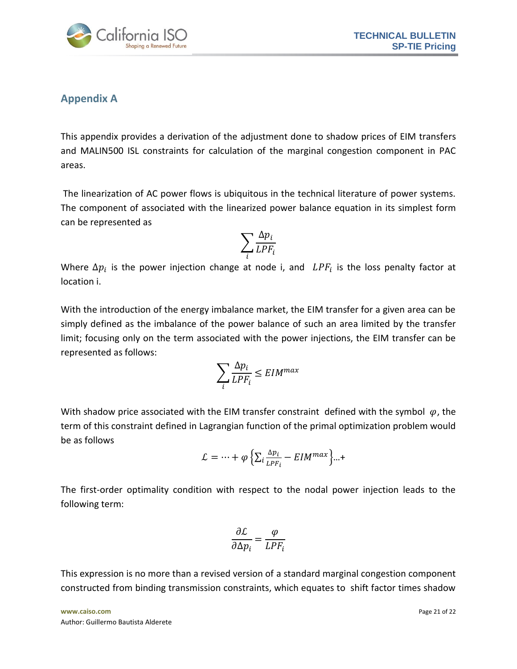

## <span id="page-20-0"></span>**Appendix A**

This appendix provides a derivation of the adjustment done to shadow prices of EIM transfers and MALIN500 ISL constraints for calculation of the marginal congestion component in PAC areas.

The linearization of AC power flows is ubiquitous in the technical literature of power systems. The component of associated with the linearized power balance equation in its simplest form can be represented as

$$
\sum_i \frac{\Delta p_i}{LPF_i}
$$

Where  $\Delta p_i$  is the power injection change at node i, and  $LPF_i$  is the loss penalty factor at location i.

With the introduction of the energy imbalance market, the EIM transfer for a given area can be simply defined as the imbalance of the power balance of such an area limited by the transfer limit; focusing only on the term associated with the power injections, the EIM transfer can be represented as follows:

$$
\sum_i \frac{\Delta p_i}{L P F_i} \leq E I M^{max}
$$

With shadow price associated with the EIM transfer constraint defined with the symbol  $\varphi$ , the term of this constraint defined in Lagrangian function of the primal optimization problem would be as follows

$$
\mathcal{L} = \dots + \varphi \left\{ \sum_{i} \frac{\Delta p_i}{LPF_i} - EIM^{max} \right\} \dots +
$$

The first-order optimality condition with respect to the nodal power injection leads to the following term:

$$
\frac{\partial \mathcal{L}}{\partial \Delta p_i} = \frac{\varphi}{L P F_i}
$$

This expression is no more than a revised version of a standard marginal congestion component constructed from binding transmission constraints, which equates to shift factor times shadow